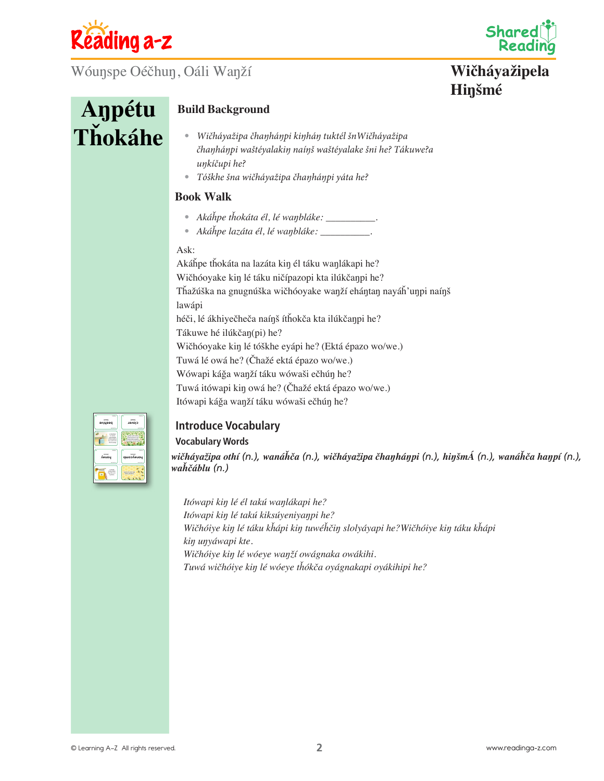

Wóuŋspe Oéčhuŋ, Oáli Waŋží



## **Wičháyažipela Hiŋšmé**

# **Aŋpétu Tȟokáhe**

## **Build Background**

- *Wičháyažipa čhaŋháŋpi kiŋháŋ tuktél šnWičháyažipa čhaŋháŋpi waštéyalakiŋ naíŋš waštéyalake šni he? Tákuwe?a uŋkíčupi he?*
- *Tóškhe šna wičháyažipa čhaŋháŋpi yáta he?*

## **Book Walk**

- *Akáȟpe tȟokáta él, lé waŋbláke: \_\_\_\_\_\_\_\_\_\_.*
- *Akáȟpe lazáta él, lé waŋbláke: \_\_\_\_\_\_\_\_\_\_.*

## Ask:

Akáȟpe tȟokáta na lazáta kiŋ él táku waŋlákapi he? Wičhóoyake kiŋ lé táku ničípazopi kta ilúkčaŋpi he? Tȟažúška na gnugnúška wičhóoyake waŋží eháŋtaŋ nayáȟ'uŋpi naíŋš lawápi héči, lé ákhiyečheča naíŋš ítȟokča kta ilúkčaŋpi he? Tákuwe hé ilúkčaŋ(pi) he? Wičhóoyake kiŋ lé tóškhe eyápi he? (Ektá épazo wo/we.) Tuwá lé owá he? (Čhažé ektá épazo wo/we.) Wówapi káǧa waŋží táku wówaši ečhúŋ he? Tuwá itówapi kiŋ owá he? (Čhažé ektá épazo wo/we.) Itówapi káǧa waŋží táku wówaši ečhúŋ he?



## **Introduce Vocabulary Vocabulary Words**

*wičháyažipa othí (n.), wanáȟča (n.), wičháyažipa čhaŋháŋpi (n.), hiŋšmÁ (n.), wanáȟča haŋpí (n.), waȟčáblu (n.)*

*Itówapi kiŋ lé él takú waŋlákapi he? Itówapi kiŋ lé takú kiksúyeniyaŋpi he? Wičhóiye kiŋ lé táku kȟápi kiŋ tuwéȟčiŋ slolyáyapi he?Wičhóiye kiŋ táku kȟápi kiŋ uŋyáwapi kte. Wičhóiye kiŋ lé wóeye waŋží owágnaka owákihi. Tuwá wičhóiye kiŋ lé wóeye tȟókča oyágnakapi oyákihipi he?*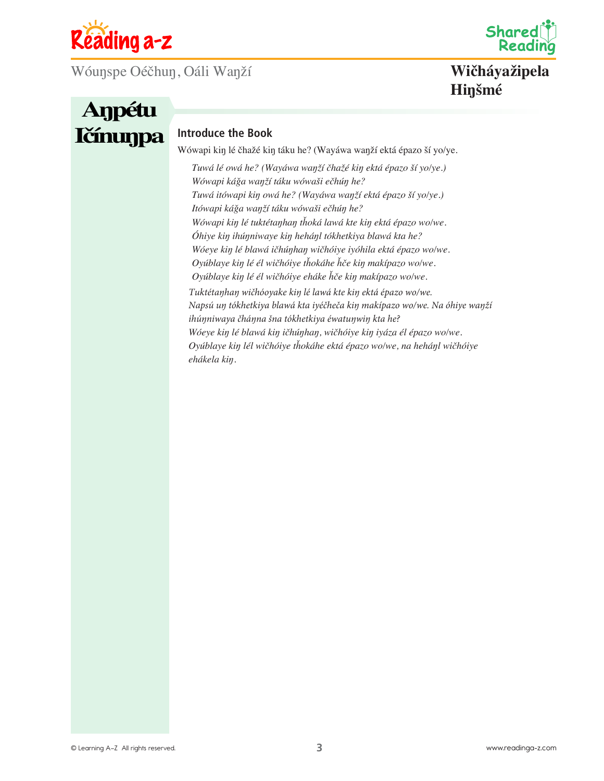

Wóuŋspe Oéčhuŋ, Oáli Waŋží



**Wičháyažipela Hiŋšmé**

# **Aŋpétu Ičínunpa Introduce the Book**

Wówapi kiŋ lé čhažé kiŋ táku he? (Wayáwa waŋží ektá épazo ší yo/ye.

*Tuwá lé owá he? (Wayáwa waŋží čhažé kiŋ ektá épazo ší yo/ye.) Wówapi káǧa waŋží táku wówaši ečhúŋ he? Tuwá itówapi kiŋ owá he? (Wayáwa waŋží ektá épazo ší yo/ye.) Itówapi káǧa waŋží táku wówaši ečhúŋ he? Wówapi kiŋ lé tuktétaŋhaŋ tȟoká lawá kte kiŋ ektá épazo wo/we. Óhiye kiŋ ihúŋniwaye kiŋ heháŋl tókhetkiya blawá kta he? Wóeye kiŋ lé blawá ičhúŋhaŋ wičhóiye iyóhila ektá épazo wo/we. Oyúblaye kiŋ lé él wičhóiye tȟokáhe ȟče kiŋ makípazo wo/we. Oyúblaye kiŋ lé él wičhóiye eháke ȟče kiŋ makípazo wo/we. Tuktétaŋhaŋ wičhóoyake kiŋ lé lawá kte kiŋ ektá épazo wo/we. Napsú uŋ tókhetkiya blawá kta iyéčheča kiŋ makípazo wo/we. Na óhiye waŋží ihúŋniwaya čháŋna šna tókhetkiya éwatuŋwiŋ kta he? Wóeye kiŋ lé blawá kiŋ ičhúŋhaŋ, wičhóiye kiŋ iyáza él épazo wo/we. Oyúblaye kiŋ lél wičhóiye tȟokáhe ektá épazo wo/we, na heháŋl wičhóiye ehákela kiŋ.*